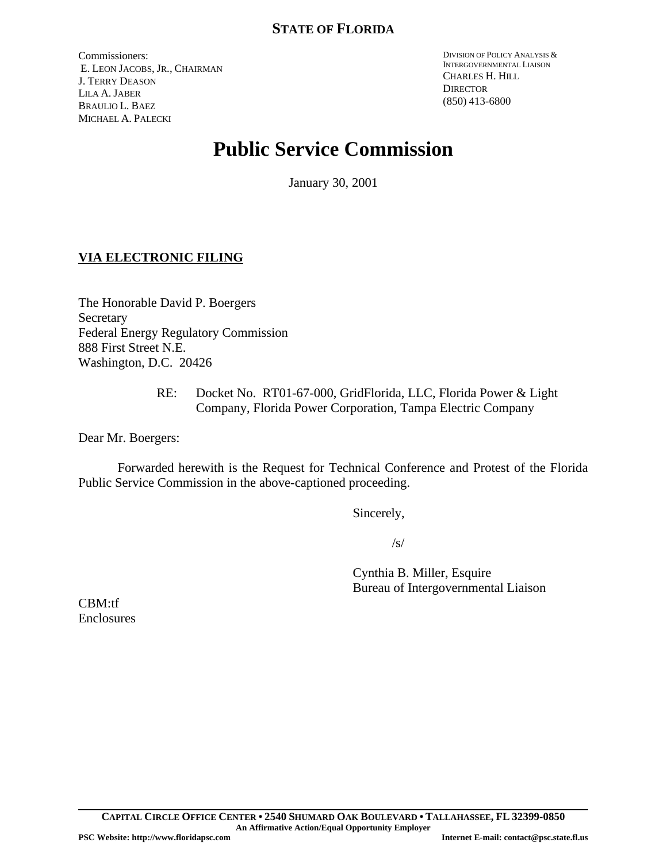Commissioners: E. LEON JACOBS, JR., CHAIRMAN J. TERRY DEASON LILA A. JABER BRAULIO L. BAEZ MICHAEL A. PALECKI

DIVISION OF POLICY ANALYSIS & INTERGOVERNMENTAL LIAISON CHARLES H. HILL **DIRECTOR** (850) 413-6800

# **Public Service Commission**

January 30, 2001

## **VIA ELECTRONIC FILING**

The Honorable David P. Boergers Secretary Federal Energy Regulatory Commission 888 First Street N.E. Washington, D.C. 20426

> RE: Docket No. RT01-67-000, GridFlorida, LLC, Florida Power & Light Company, Florida Power Corporation, Tampa Electric Company

Dear Mr. Boergers:

Forwarded herewith is the Request for Technical Conference and Protest of the Florida Public Service Commission in the above-captioned proceeding.

Sincerely,

/s/

Cynthia B. Miller, Esquire Bureau of Intergovernmental Liaison

CBM:tf Enclosures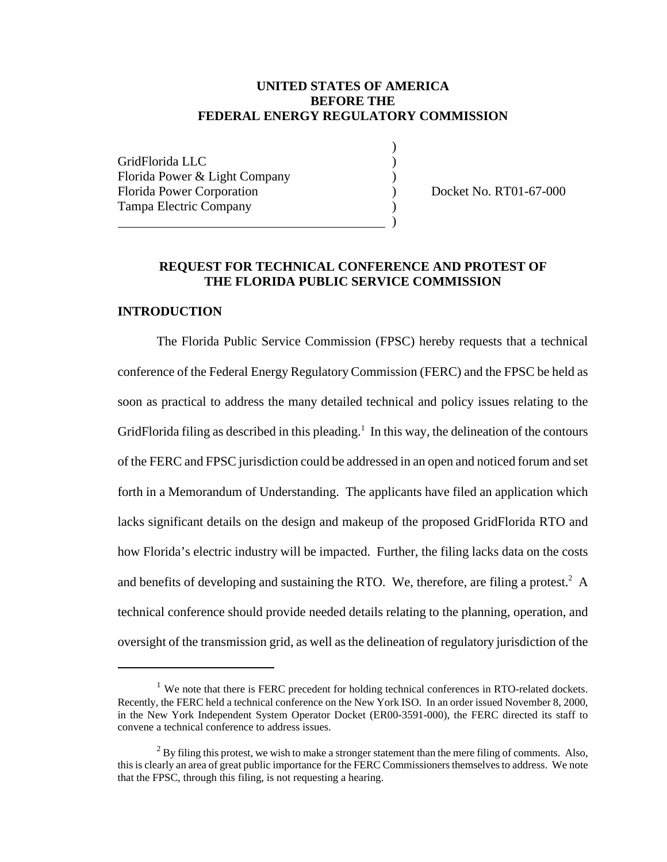#### **UNITED STATES OF AMERICA BEFORE THE FEDERAL ENERGY REGULATORY COMMISSION**

)

GridFlorida LLC ) Florida Power & Light Company (1996) Florida Power Corporation (a) Docket No. RT01-67-000 Tampa Electric Company ) ) and the contract of  $\overline{\phantom{a}}$ 

### **REQUEST FOR TECHNICAL CONFERENCE AND PROTEST OF THE FLORIDA PUBLIC SERVICE COMMISSION**

#### **INTRODUCTION**

The Florida Public Service Commission (FPSC) hereby requests that a technical conference of the Federal Energy Regulatory Commission (FERC) and the FPSC be held as soon as practical to address the many detailed technical and policy issues relating to the GridFlorida filing as described in this pleading.<sup>1</sup> In this way, the delineation of the contours of the FERC and FPSC jurisdiction could be addressed in an open and noticed forum and set forth in a Memorandum of Understanding. The applicants have filed an application which lacks significant details on the design and makeup of the proposed GridFlorida RTO and how Florida's electric industry will be impacted. Further, the filing lacks data on the costs and benefits of developing and sustaining the RTO. We, therefore, are filing a protest.<sup>2</sup> A technical conference should provide needed details relating to the planning, operation, and oversight of the transmission grid, as well as the delineation of regulatory jurisdiction of the

 $1$  We note that there is FERC precedent for holding technical conferences in RTO-related dockets. Recently, the FERC held a technical conference on the New York ISO. In an order issued November 8, 2000, in the New York Independent System Operator Docket (ER00-3591-000), the FERC directed its staff to convene a technical conference to address issues.

 $2^2$  By filing this protest, we wish to make a stronger statement than the mere filing of comments. Also, this is clearly an area of great public importance for the FERC Commissioners themselves to address. We note that the FPSC, through this filing, is not requesting a hearing.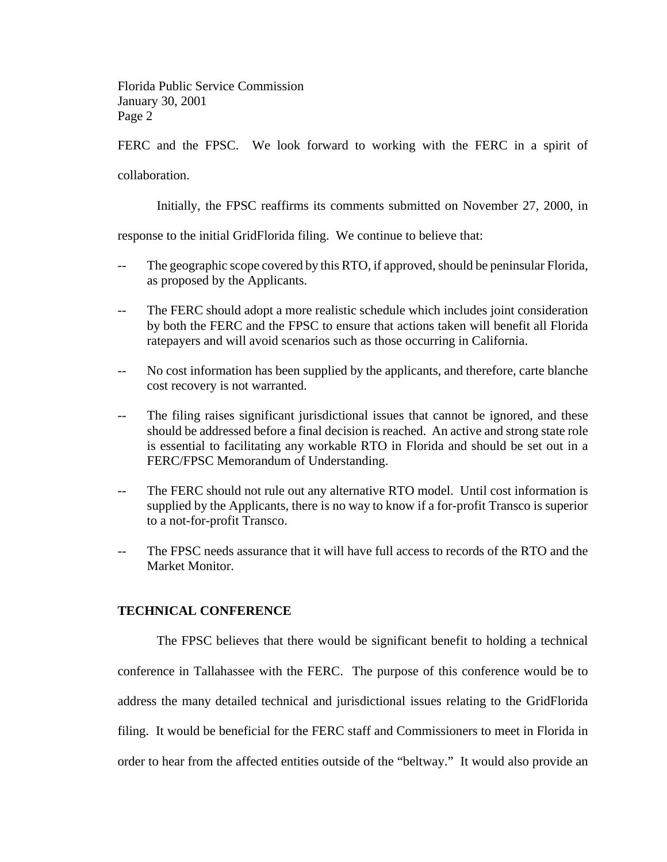FERC and the FPSC. We look forward to working with the FERC in a spirit of

collaboration.

Initially, the FPSC reaffirms its comments submitted on November 27, 2000, in

response to the initial GridFlorida filing. We continue to believe that:

- -- The geographic scope covered by this RTO, if approved, should be peninsular Florida, as proposed by the Applicants.
- The FERC should adopt a more realistic schedule which includes joint consideration by both the FERC and the FPSC to ensure that actions taken will benefit all Florida ratepayers and will avoid scenarios such as those occurring in California.
- -- No cost information has been supplied by the applicants, and therefore, carte blanche cost recovery is not warranted.
- -- The filing raises significant jurisdictional issues that cannot be ignored, and these should be addressed before a final decision is reached. An active and strong state role is essential to facilitating any workable RTO in Florida and should be set out in a FERC/FPSC Memorandum of Understanding.
- -- The FERC should not rule out any alternative RTO model. Until cost information is supplied by the Applicants, there is no way to know if a for-profit Transco is superior to a not-for-profit Transco.
- The FPSC needs assurance that it will have full access to records of the RTO and the Market Monitor.

#### **TECHNICAL CONFERENCE**

The FPSC believes that there would be significant benefit to holding a technical conference in Tallahassee with the FERC. The purpose of this conference would be to address the many detailed technical and jurisdictional issues relating to the GridFlorida filing. It would be beneficial for the FERC staff and Commissioners to meet in Florida in order to hear from the affected entities outside of the "beltway." It would also provide an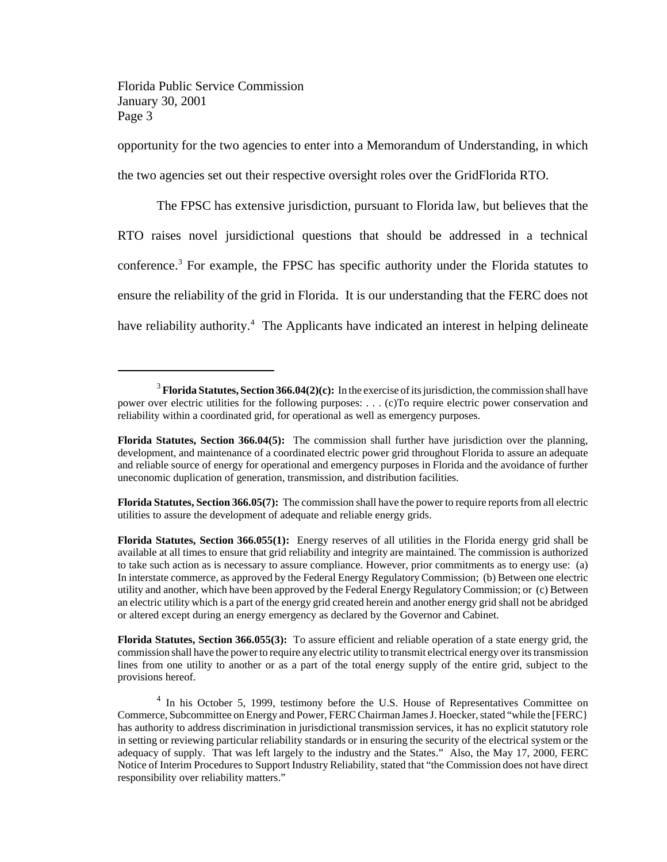opportunity for the two agencies to enter into a Memorandum of Understanding, in which

the two agencies set out their respective oversight roles over the GridFlorida RTO.

The FPSC has extensive jurisdiction, pursuant to Florida law, but believes that the RTO raises novel jursidictional questions that should be addressed in a technical conference.<sup>3</sup> For example, the FPSC has specific authority under the Florida statutes to ensure the reliability of the grid in Florida. It is our understanding that the FERC does not have reliability authority.<sup>4</sup> The Applicants have indicated an interest in helping delineate

**Florida Statutes, Section 366.05(7):** The commission shall have the power to require reports from all electric utilities to assure the development of adequate and reliable energy grids.

**Florida Statutes, Section 366.055(3):** To assure efficient and reliable operation of a state energy grid, the commission shall have the powerto require any electric utility to transmit electrical energy over itstransmission lines from one utility to another or as a part of the total energy supply of the entire grid, subject to the provisions hereof.

<sup>3</sup> **Florida Statutes, Section366.04(2)(c):** In the exercise of its jurisdiction, the commission shall have power over electric utilities for the following purposes: . . . (c)To require electric power conservation and reliability within a coordinated grid, for operational as well as emergency purposes.

**Florida Statutes, Section 366.04(5):** The commission shall further have jurisdiction over the planning, development, and maintenance of a coordinated electric power grid throughout Florida to assure an adequate and reliable source of energy for operational and emergency purposes in Florida and the avoidance of further uneconomic duplication of generation, transmission, and distribution facilities.

**Florida Statutes, Section 366.055(1):** Energy reserves of all utilities in the Florida energy grid shall be available at all times to ensure that grid reliability and integrity are maintained. The commission is authorized to take such action as is necessary to assure compliance. However, prior commitments as to energy use: (a) In interstate commerce, as approved by the Federal Energy Regulatory Commission; (b) Between one electric utility and another, which have been approved by the Federal Energy Regulatory Commission; or (c) Between an electric utility which is a part of the energy grid created herein and another energy grid shall not be abridged or altered except during an energy emergency as declared by the Governor and Cabinet.

<sup>&</sup>lt;sup>4</sup> In his October 5, 1999, testimony before the U.S. House of Representatives Committee on Commerce, Subcommittee on Energy and Power, FERC Chairman James J. Hoecker, stated "while the [FERC] has authority to address discrimination in jurisdictional transmission services, it has no explicit statutory role in setting or reviewing particular reliability standards or in ensuring the security of the electrical system or the adequacy of supply. That was left largely to the industry and the States." Also, the May 17, 2000, FERC Notice of Interim Procedures to Support Industry Reliability, stated that "the Commission does not have direct responsibility over reliability matters."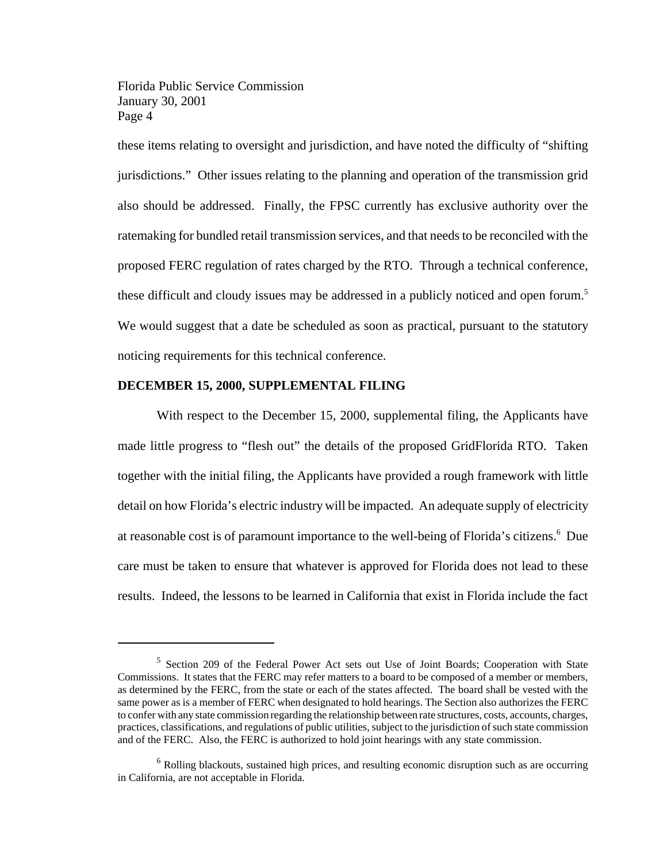these items relating to oversight and jurisdiction, and have noted the difficulty of "shifting jurisdictions." Other issues relating to the planning and operation of the transmission grid also should be addressed. Finally, the FPSC currently has exclusive authority over the ratemaking for bundled retail transmission services, and that needs to be reconciled with the proposed FERC regulation of rates charged by the RTO. Through a technical conference, these difficult and cloudy issues may be addressed in a publicly noticed and open forum.<sup>5</sup> We would suggest that a date be scheduled as soon as practical, pursuant to the statutory noticing requirements for this technical conference.

#### **DECEMBER 15, 2000, SUPPLEMENTAL FILING**

With respect to the December 15, 2000, supplemental filing, the Applicants have made little progress to "flesh out" the details of the proposed GridFlorida RTO. Taken together with the initial filing, the Applicants have provided a rough framework with little detail on how Florida's electric industry will be impacted. An adequate supply of electricity at reasonable cost is of paramount importance to the well-being of Florida's citizens.<sup>6</sup> Due care must be taken to ensure that whatever is approved for Florida does not lead to these results. Indeed, the lessons to be learned in California that exist in Florida include the fact

<sup>&</sup>lt;sup>5</sup> Section 209 of the Federal Power Act sets out Use of Joint Boards; Cooperation with State Commissions. It states that the FERC may refer matters to a board to be composed of a member or members, as determined by the FERC, from the state or each of the states affected. The board shall be vested with the same power as is a member of FERC when designated to hold hearings. The Section also authorizes the FERC to confer with any state commission regarding the relationship between rate structures, costs, accounts, charges, practices, classifications, and regulations of public utilities, subject to the jurisdiction of such state commission and of the FERC. Also, the FERC is authorized to hold joint hearings with any state commission.

 $6$  Rolling blackouts, sustained high prices, and resulting economic disruption such as are occurring in California, are not acceptable in Florida.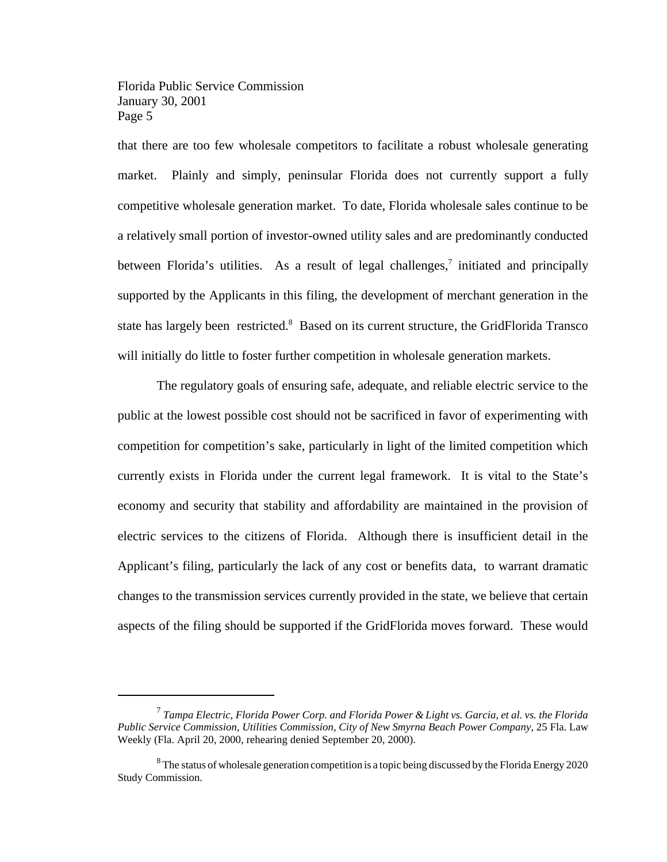that there are too few wholesale competitors to facilitate a robust wholesale generating market. Plainly and simply, peninsular Florida does not currently support a fully competitive wholesale generation market. To date, Florida wholesale sales continue to be a relatively small portion of investor-owned utility sales and are predominantly conducted between Florida's utilities. As a result of legal challenges,<sup>7</sup> initiated and principally supported by the Applicants in this filing, the development of merchant generation in the state has largely been restricted.<sup>8</sup> Based on its current structure, the GridFlorida Transco will initially do little to foster further competition in wholesale generation markets.

The regulatory goals of ensuring safe, adequate, and reliable electric service to the public at the lowest possible cost should not be sacrificed in favor of experimenting with competition for competition's sake, particularly in light of the limited competition which currently exists in Florida under the current legal framework. It is vital to the State's economy and security that stability and affordability are maintained in the provision of electric services to the citizens of Florida. Although there is insufficient detail in the Applicant's filing, particularly the lack of any cost or benefits data, to warrant dramatic changes to the transmission services currently provided in the state, we believe that certain aspects of the filing should be supported if the GridFlorida moves forward. These would

<sup>7</sup> *Tampa Electric, Florida Power Corp. and Florida Power & Light vs. Garcia, et al. vs. the Florida Public Service Commission, Utilities Commission, City of New Smyrna Beach Power Company*, 25 Fla. Law Weekly (Fla. April 20, 2000, rehearing denied September 20, 2000).

 $8$  The status of wholesale generation competition is a topic being discussed by the Florida Energy 2020 Study Commission.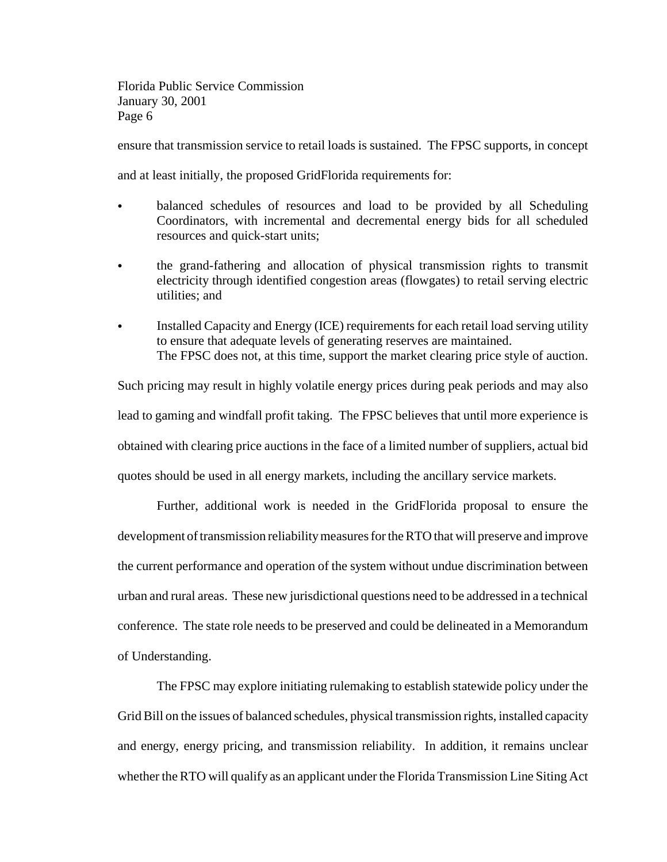ensure that transmission service to retail loads is sustained. The FPSC supports, in concept

and at least initially, the proposed GridFlorida requirements for:

- C balanced schedules of resources and load to be provided by all Scheduling Coordinators, with incremental and decremental energy bids for all scheduled resources and quick-start units;
- C the grand-fathering and allocation of physical transmission rights to transmit electricity through identified congestion areas (flowgates) to retail serving electric utilities; and
- Installed Capacity and Energy (ICE) requirements for each retail load serving utility to ensure that adequate levels of generating reserves are maintained. The FPSC does not, at this time, support the market clearing price style of auction.

Such pricing may result in highly volatile energy prices during peak periods and may also lead to gaming and windfall profit taking. The FPSC believes that until more experience is obtained with clearing price auctions in the face of a limited number of suppliers, actual bid quotes should be used in all energy markets, including the ancillary service markets.

Further, additional work is needed in the GridFlorida proposal to ensure the development of transmission reliability measures for the RTO that will preserve and improve the current performance and operation of the system without undue discrimination between urban and rural areas. These new jurisdictional questions need to be addressed in a technical conference. The state role needs to be preserved and could be delineated in a Memorandum of Understanding.

The FPSC may explore initiating rulemaking to establish statewide policy under the Grid Bill on the issues of balanced schedules, physical transmission rights, installed capacity and energy, energy pricing, and transmission reliability. In addition, it remains unclear whether the RTO will qualify as an applicant under the Florida Transmission Line Siting Act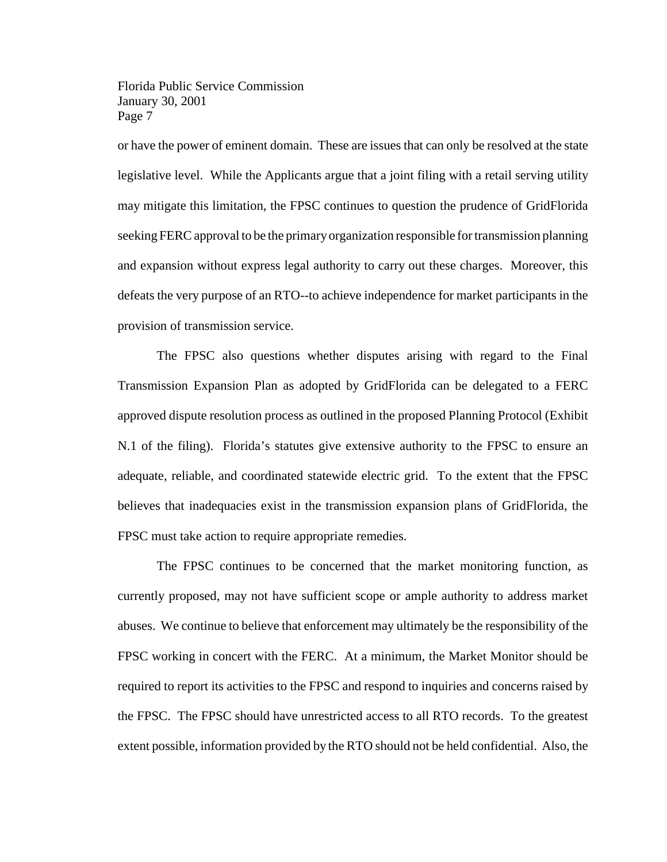or have the power of eminent domain. These are issues that can only be resolved at the state legislative level. While the Applicants argue that a joint filing with a retail serving utility may mitigate this limitation, the FPSC continues to question the prudence of GridFlorida seeking FERC approval to be the primary organization responsible for transmission planning and expansion without express legal authority to carry out these charges. Moreover, this defeats the very purpose of an RTO--to achieve independence for market participants in the provision of transmission service.

The FPSC also questions whether disputes arising with regard to the Final Transmission Expansion Plan as adopted by GridFlorida can be delegated to a FERC approved dispute resolution process as outlined in the proposed Planning Protocol (Exhibit N.1 of the filing). Florida's statutes give extensive authority to the FPSC to ensure an adequate, reliable, and coordinated statewide electric grid. To the extent that the FPSC believes that inadequacies exist in the transmission expansion plans of GridFlorida, the FPSC must take action to require appropriate remedies.

The FPSC continues to be concerned that the market monitoring function, as currently proposed, may not have sufficient scope or ample authority to address market abuses. We continue to believe that enforcement may ultimately be the responsibility of the FPSC working in concert with the FERC. At a minimum, the Market Monitor should be required to report its activities to the FPSC and respond to inquiries and concerns raised by the FPSC. The FPSC should have unrestricted access to all RTO records. To the greatest extent possible, information provided by the RTO should not be held confidential. Also, the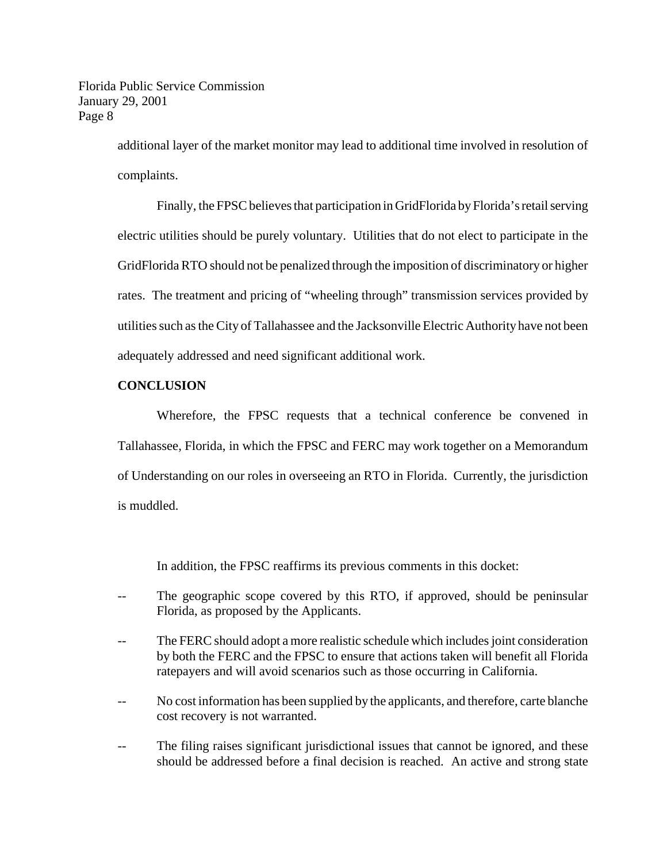> additional layer of the market monitor may lead to additional time involved in resolution of complaints.

> Finally, the FPSC believes that participation in GridFlorida by Florida's retail serving electric utilities should be purely voluntary. Utilities that do not elect to participate in the GridFlorida RTO should not be penalized through the imposition of discriminatory or higher rates. The treatment and pricing of "wheeling through" transmission services provided by utilities such as the City of Tallahassee and the Jacksonville Electric Authority have not been adequately addressed and need significant additional work.

#### **CONCLUSION**

Wherefore, the FPSC requests that a technical conference be convened in Tallahassee, Florida, in which the FPSC and FERC may work together on a Memorandum of Understanding on our roles in overseeing an RTO in Florida. Currently, the jurisdiction is muddled.

In addition, the FPSC reaffirms its previous comments in this docket:

- The geographic scope covered by this RTO, if approved, should be peninsular Florida, as proposed by the Applicants.
- The FERC should adopt a more realistic schedule which includes joint consideration by both the FERC and the FPSC to ensure that actions taken will benefit all Florida ratepayers and will avoid scenarios such as those occurring in California.
- No cost information has been supplied by the applicants, and therefore, carte blanche cost recovery is not warranted.
- The filing raises significant jurisdictional issues that cannot be ignored, and these should be addressed before a final decision is reached. An active and strong state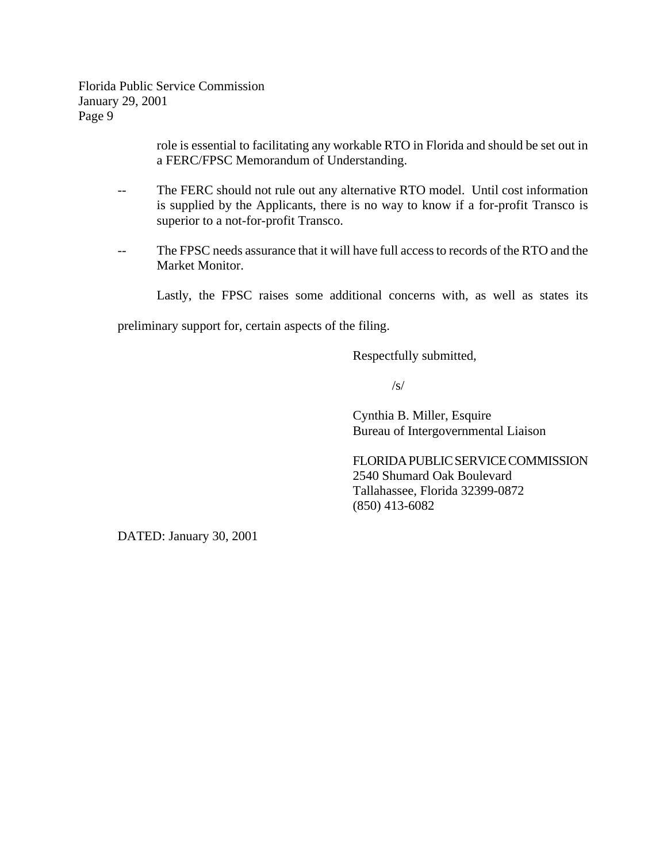> role is essential to facilitating any workable RTO in Florida and should be set out in a FERC/FPSC Memorandum of Understanding.

- -- The FERC should not rule out any alternative RTO model. Until cost information is supplied by the Applicants, there is no way to know if a for-profit Transco is superior to a not-for-profit Transco.
- -- The FPSC needs assurance that it will have full accessto records of the RTO and the Market Monitor.

Lastly, the FPSC raises some additional concerns with, as well as states its

preliminary support for, certain aspects of the filing.

Respectfully submitted,

 $\sqrt{s}$ 

Cynthia B. Miller, Esquire Bureau of Intergovernmental Liaison

FLORIDA PUBLIC SERVICE COMMISSION 2540 Shumard Oak Boulevard Tallahassee, Florida 32399-0872 (850) 413-6082

DATED: January 30, 2001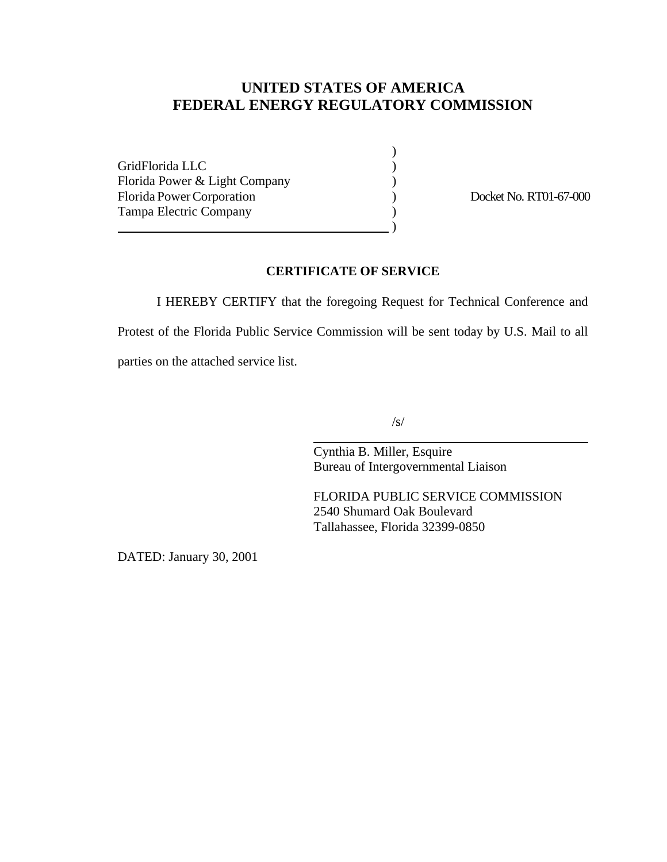## **UNITED STATES OF AMERICA FEDERAL ENERGY REGULATORY COMMISSION**

GridFlorida LLC ) Florida Power & Light Company (1994) Florida Power Corporation (and Corporation and Corporation (b) Docket No. RT01-67-000 Tampa Electric Company (1999)  $\hspace{1.5cm}$  ) and the contract of  $\hspace{1.5cm}$ 

)

#### **CERTIFICATE OF SERVICE**

I HEREBY CERTIFY that the foregoing Request for Technical Conference and Protest of the Florida Public Service Commission will be sent today by U.S. Mail to all parties on the attached service list.

 $\overline{a}$ 

/s/

Cynthia B. Miller, Esquire Bureau of Intergovernmental Liaison

FLORIDA PUBLIC SERVICE COMMISSION 2540 Shumard Oak Boulevard Tallahassee, Florida 32399-0850

DATED: January 30, 2001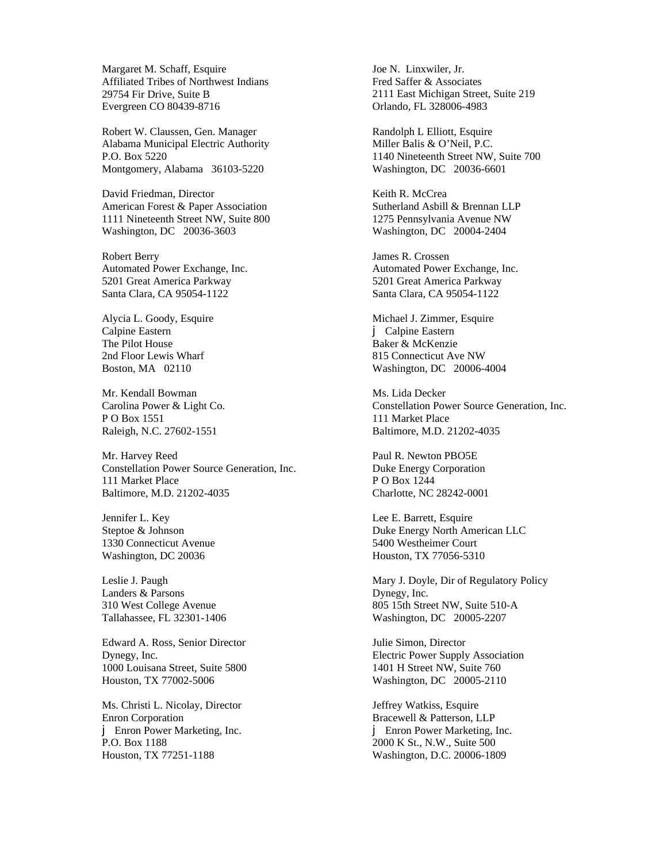Margaret M. Schaff, Esquire Affiliated Tribes of Northwest Indians 29754 Fir Drive, Suite B Evergreen CO 80439-8716

Robert W. Claussen, Gen. Manager Alabama Municipal Electric Authority P.O. Box 5220 Montgomery, Alabama 36103-5220

David Friedman, Director American Forest & Paper Association 1111 Nineteenth Street NW, Suite 800 Washington, DC 20036-3603

Robert Berry Automated Power Exchange, Inc. 5201 Great America Parkway Santa Clara, CA 95054-1122

Alycia L. Goody, Esquire Calpine Eastern The Pilot House 2nd Floor Lewis Wharf Boston, MA 02110

Mr. Kendall Bowman Carolina Power & Light Co. P O Box 1551 Raleigh, N.C. 27602-1551

Mr. Harvey Reed Constellation Power Source Generation, Inc. 111 Market Place Baltimore, M.D. 21202-4035

Jennifer L. Key Steptoe & Johnson 1330 Connecticut Avenue Washington, DC 20036

Leslie J. Paugh Landers & Parsons 310 West College Avenue Tallahassee, FL 32301-1406

Edward A. Ross, Senior Director Dynegy, Inc. 1000 Louisana Street, Suite 5800 Houston, TX 77002-5006

Ms. Christi L. Nicolay, Director Enron Corporation j Enron Power Marketing, Inc. P.O. Box 1188 Houston, TX 77251-1188

Joe N. Linxwiler, Jr. Fred Saffer & Associates 2111 East Michigan Street, Suite 219 Orlando, FL 328006-4983

Randolph L Elliott, Esquire Miller Balis & O'Neil, P.C. 1140 Nineteenth Street NW, Suite 700 Washington, DC 20036-6601

Keith R. McCrea Sutherland Asbill & Brennan LLP 1275 Pennsylvania Avenue NW Washington, DC 20004-2404

James R. Crossen Automated Power Exchange, Inc. 5201 Great America Parkway Santa Clara, CA 95054-1122

Michael J. Zimmer, Esquire j Calpine Eastern Baker & McKenzie 815 Connecticut Ave NW Washington, DC 20006-4004

Ms. Lida Decker Constellation Power Source Generation, Inc. 111 Market Place Baltimore, M.D. 21202-4035

Paul R. Newton PBO5E Duke Energy Corporation P O Box 1244 Charlotte, NC 28242-0001

Lee E. Barrett, Esquire Duke Energy North American LLC 5400 Westheimer Court Houston, TX 77056-5310

Mary J. Doyle, Dir of Regulatory Policy Dynegy, Inc. 805 15th Street NW, Suite 510-A Washington, DC 20005-2207

Julie Simon, Director Electric Power Supply Association 1401 H Street NW, Suite 760 Washington, DC 20005-2110

Jeffrey Watkiss, Esquire Bracewell & Patterson, LLP j Enron Power Marketing, Inc. 2000 K St., N.W., Suite 500 Washington, D.C. 20006-1809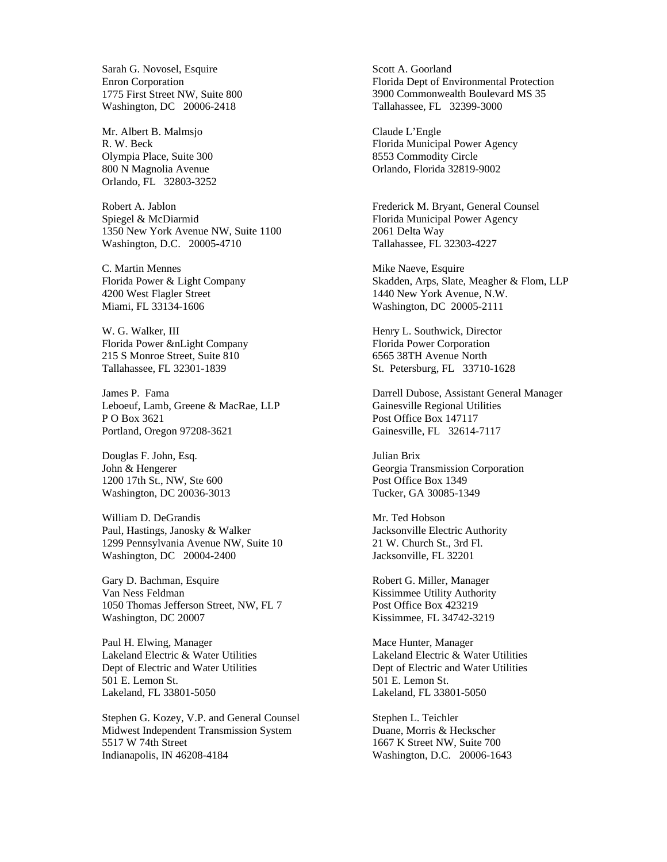Sarah G. Novosel, Esquire Enron Corporation 1775 First Street NW, Suite 800 Washington, DC 20006-2418

Mr. Albert B. Malmsjo R. W. Beck Olympia Place, Suite 300 800 N Magnolia Avenue Orlando, FL 32803-3252

Robert A. Jablon Spiegel & McDiarmid 1350 New York Avenue NW, Suite 1100 Washington, D.C. 20005-4710

C. Martin Mennes Florida Power & Light Company 4200 West Flagler Street Miami, FL 33134-1606

W. G. Walker, III Florida Power &nLight Company 215 S Monroe Street, Suite 810 Tallahassee, FL 32301-1839

James P. Fama Leboeuf, Lamb, Greene & MacRae, LLP P O Box 3621 Portland, Oregon 97208-3621

Douglas F. John, Esq. John & Hengerer 1200 17th St., NW, Ste 600 Washington, DC 20036-3013

William D. DeGrandis Paul, Hastings, Janosky & Walker 1299 Pennsylvania Avenue NW, Suite 10 Washington, DC 20004-2400

Gary D. Bachman, Esquire Van Ness Feldman 1050 Thomas Jefferson Street, NW, FL 7 Washington, DC 20007

Paul H. Elwing, Manager Lakeland Electric & Water Utilities Dept of Electric and Water Utilities 501 E. Lemon St. Lakeland, FL 33801-5050

Stephen G. Kozey, V.P. and General Counsel Midwest Independent Transmission System 5517 W 74th Street Indianapolis, IN 46208-4184

Scott A. Goorland Florida Dept of Environmental Protection 3900 Commonwealth Boulevard MS 35 Tallahassee, FL 32399-3000

Claude L'Engle Florida Municipal Power Agency 8553 Commodity Circle Orlando, Florida 32819-9002

Frederick M. Bryant, General Counsel Florida Municipal Power Agency 2061 Delta Way Tallahassee, FL 32303-4227

Mike Naeve, Esquire Skadden, Arps, Slate, Meagher & Flom, LLP 1440 New York Avenue, N.W. Washington, DC 20005-2111

Henry L. Southwick, Director Florida Power Corporation 6565 38TH Avenue North St. Petersburg, FL 33710-1628

Darrell Dubose, Assistant General Manager Gainesville Regional Utilities Post Office Box 147117 Gainesville, FL 32614-7117

Julian Brix Georgia Transmission Corporation Post Office Box 1349 Tucker, GA 30085-1349

Mr. Ted Hobson Jacksonville Electric Authority 21 W. Church St., 3rd Fl. Jacksonville, FL 32201

Robert G. Miller, Manager Kissimmee Utility Authority Post Office Box 423219 Kissimmee, FL 34742-3219

Mace Hunter, Manager Lakeland Electric & Water Utilities Dept of Electric and Water Utilities 501 E. Lemon St. Lakeland, FL 33801-5050

Stephen L. Teichler Duane, Morris & Heckscher 1667 K Street NW, Suite 700 Washington, D.C. 20006-1643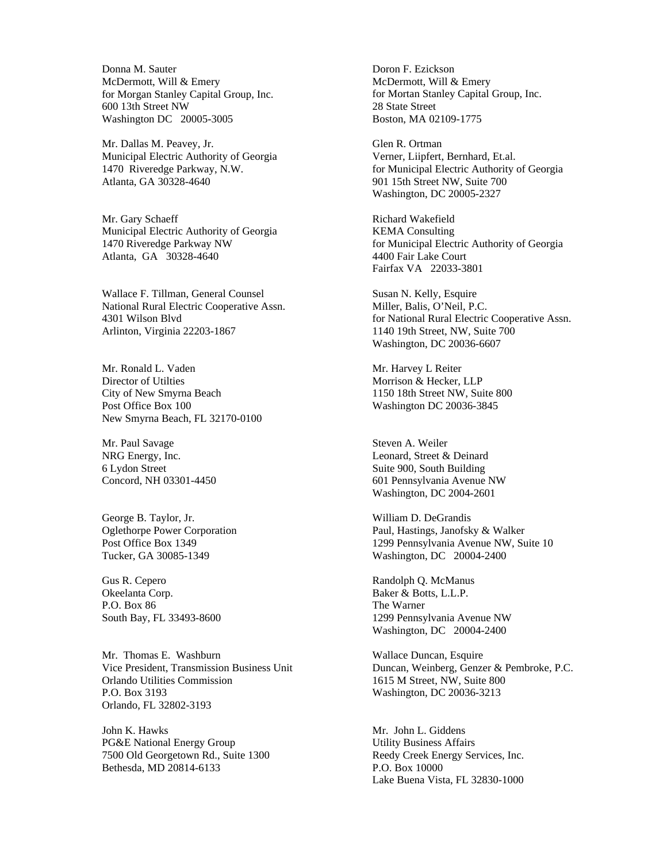Donna M. Sauter McDermott, Will & Emery for Morgan Stanley Capital Group, Inc. 600 13th Street NW Washington DC 20005-3005

Mr. Dallas M. Peavey, Jr. Municipal Electric Authority of Georgia 1470 Riveredge Parkway, N.W. Atlanta, GA 30328-4640

Mr. Gary Schaeff Municipal Electric Authority of Georgia 1470 Riveredge Parkway NW Atlanta, GA 30328-4640

Wallace F. Tillman, General Counsel National Rural Electric Cooperative Assn. 4301 Wilson Blvd Arlinton, Virginia 22203-1867

Mr. Ronald L. Vaden Director of Utilties City of New Smyrna Beach Post Office Box 100 New Smyrna Beach, FL 32170-0100

Mr. Paul Savage NRG Energy, Inc. 6 Lydon Street Concord, NH 03301-4450

George B. Taylor, Jr. Oglethorpe Power Corporation Post Office Box 1349 Tucker, GA 30085-1349

Gus R. Cepero Okeelanta Corp. P.O. Box 86 South Bay, FL 33493-8600

Mr. Thomas E. Washburn Vice President, Transmission Business Unit Orlando Utilities Commission P.O. Box 3193 Orlando, FL 32802-3193

John K. Hawks PG&E National Energy Group 7500 Old Georgetown Rd., Suite 1300 Bethesda, MD 20814-6133

Doron F. Ezickson McDermott, Will & Emery for Mortan Stanley Capital Group, Inc. 28 State Street Boston, MA 02109-1775

Glen R. Ortman Verner, Liipfert, Bernhard, Et.al. for Municipal Electric Authority of Georgia 901 15th Street NW, Suite 700 Washington, DC 20005-2327

Richard Wakefield KEMA Consulting for Municipal Electric Authority of Georgia 4400 Fair Lake Court Fairfax VA 22033-3801

Susan N. Kelly, Esquire Miller, Balis, O'Neil, P.C. for National Rural Electric Cooperative Assn. 1140 19th Street, NW, Suite 700 Washington, DC 20036-6607

Mr. Harvey L Reiter Morrison & Hecker, LLP 1150 18th Street NW, Suite 800 Washington DC 20036-3845

Steven A. Weiler Leonard, Street & Deinard Suite 900, South Building 601 Pennsylvania Avenue NW Washington, DC 2004-2601

William D. DeGrandis Paul, Hastings, Janofsky & Walker 1299 Pennsylvania Avenue NW, Suite 10 Washington, DC 20004-2400

Randolph Q. McManus Baker & Botts, L.L.P. The Warner 1299 Pennsylvania Avenue NW Washington, DC 20004-2400

Wallace Duncan, Esquire Duncan, Weinberg, Genzer & Pembroke, P.C. 1615 M Street, NW, Suite 800 Washington, DC 20036-3213

Mr. John L. Giddens Utility Business Affairs Reedy Creek Energy Services, Inc. P.O. Box 10000 Lake Buena Vista, FL 32830-1000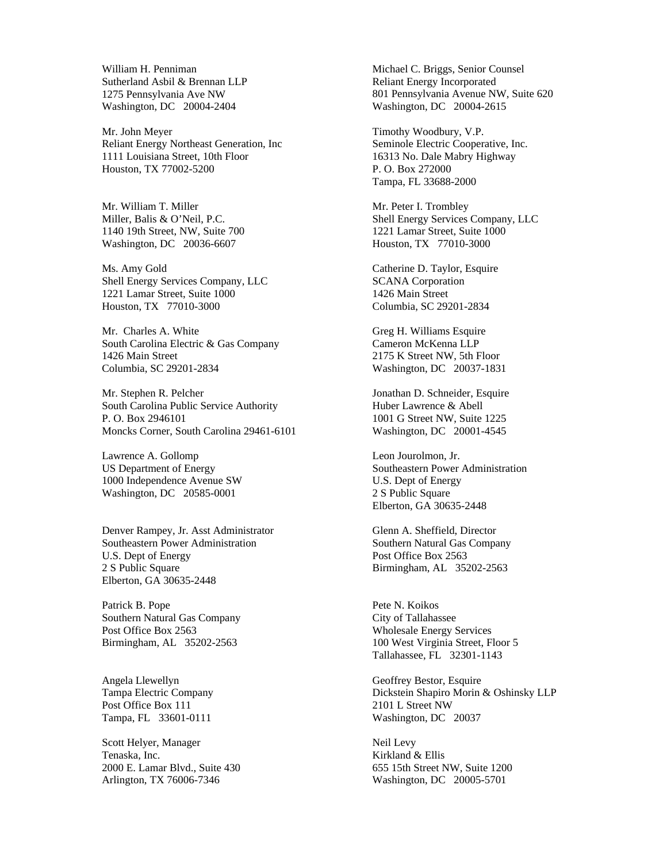William H. Penniman Sutherland Asbil & Brennan LLP 1275 Pennsylvania Ave NW Washington, DC 20004-2404

Mr. John Meyer Reliant Energy Northeast Generation, Inc 1111 Louisiana Street, 10th Floor Houston, TX 77002-5200

Mr. William T. Miller Miller, Balis & O'Neil, P.C. 1140 19th Street, NW, Suite 700 Washington, DC 20036-6607

Ms. Amy Gold Shell Energy Services Company, LLC 1221 Lamar Street, Suite 1000 Houston, TX 77010-3000

Mr. Charles A. White South Carolina Electric & Gas Company 1426 Main Street Columbia, SC 29201-2834

Mr. Stephen R. Pelcher South Carolina Public Service Authority P. O. Box 2946101 Moncks Corner, South Carolina 29461-6101

Lawrence A. Gollomp US Department of Energy 1000 Independence Avenue SW Washington, DC 20585-0001

Denver Rampey, Jr. Asst Administrator Southeastern Power Administration U.S. Dept of Energy 2 S Public Square Elberton, GA 30635-2448

Patrick B. Pope Southern Natural Gas Company Post Office Box 2563 Birmingham, AL 35202-2563

Angela Llewellyn Tampa Electric Company Post Office Box 111 Tampa, FL 33601-0111

Scott Helyer, Manager Tenaska, Inc. 2000 E. Lamar Blvd., Suite 430 Arlington, TX 76006-7346

Michael C. Briggs, Senior Counsel Reliant Energy Incorporated 801 Pennsylvania Avenue NW, Suite 620 Washington, DC 20004-2615

Timothy Woodbury, V.P. Seminole Electric Cooperative, Inc. 16313 No. Dale Mabry Highway P. O. Box 272000 Tampa, FL 33688-2000

Mr. Peter I. Trombley Shell Energy Services Company, LLC 1221 Lamar Street, Suite 1000 Houston, TX 77010-3000

Catherine D. Taylor, Esquire SCANA Corporation 1426 Main Street Columbia, SC 29201-2834

Greg H. Williams Esquire Cameron McKenna LLP 2175 K Street NW, 5th Floor Washington, DC 20037-1831

Jonathan D. Schneider, Esquire Huber Lawrence & Abell 1001 G Street NW, Suite 1225 Washington, DC 20001-4545

Leon Jourolmon, Jr. Southeastern Power Administration U.S. Dept of Energy 2 S Public Square Elberton, GA 30635-2448

Glenn A. Sheffield, Director Southern Natural Gas Company Post Office Box 2563 Birmingham, AL 35202-2563

Pete N. Koikos City of Tallahassee Wholesale Energy Services 100 West Virginia Street, Floor 5 Tallahassee, FL 32301-1143

Geoffrey Bestor, Esquire Dickstein Shapiro Morin & Oshinsky LLP 2101 L Street NW Washington, DC 20037

Neil Levy Kirkland & Ellis 655 15th Street NW, Suite 1200 Washington, DC 20005-5701